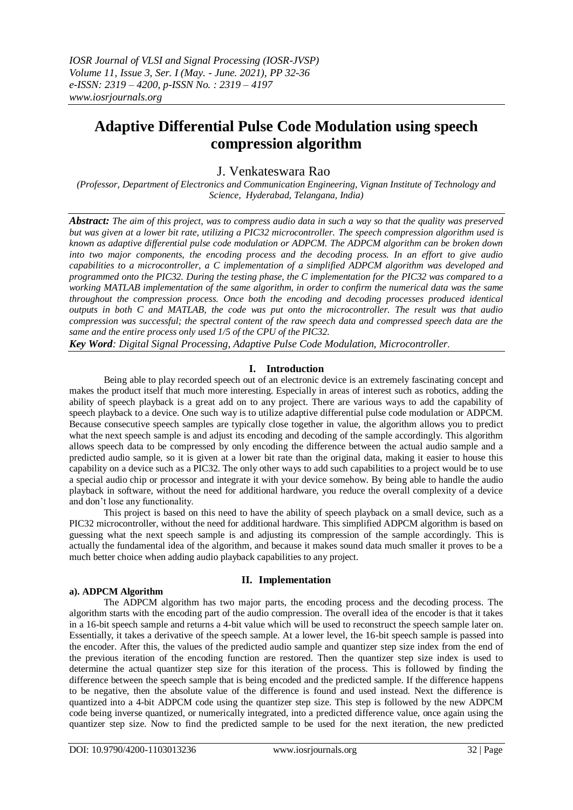# **Adaptive Differential Pulse Code Modulation using speech compression algorithm**

## J. Venkateswara Rao

*(Professor, Department of Electronics and Communication Engineering, Vignan Institute of Technology and Science, Hyderabad, Telangana, India)*

*Abstract: The aim of this project, was to compress audio data in such a way so that the quality was preserved but was given at a lower bit rate, utilizing a PIC32 microcontroller. The speech compression algorithm used is known as adaptive differential pulse code modulation or ADPCM. The ADPCM algorithm can be broken down into two major components, the encoding process and the decoding process. In an effort to give audio capabilities to a microcontroller, a C implementation of a simplified ADPCM algorithm was developed and programmed onto the PIC32. During the testing phase, the C implementation for the PIC32 was compared to a working MATLAB implementation of the same algorithm, in order to confirm the numerical data was the same throughout the compression process. Once both the encoding and decoding processes produced identical outputs in both C and MATLAB, the code was put onto the microcontroller. The result was that audio compression was successful; the spectral content of the raw speech data and compressed speech data are the same and the entire process only used 1/5 of the CPU of the PIC32.*

*Key Word: Digital Signal Processing, Adaptive Pulse Code Modulation, Microcontroller.*

## **I. Introduction**

Being able to play recorded speech out of an electronic device is an extremely fascinating concept and makes the product itself that much more interesting. Especially in areas of interest such as robotics, adding the ability of speech playback is a great add on to any project. There are various ways to add the capability of speech playback to a device. One such way is to utilize adaptive differential pulse code modulation or ADPCM. Because consecutive speech samples are typically close together in value, the algorithm allows you to predict what the next speech sample is and adjust its encoding and decoding of the sample accordingly. This algorithm allows speech data to be compressed by only encoding the difference between the actual audio sample and a predicted audio sample, so it is given at a lower bit rate than the original data, making it easier to house this capability on a device such as a PIC32. The only other ways to add such capabilities to a project would be to use a special audio chip or processor and integrate it with your device somehow. By being able to handle the audio playback in software, without the need for additional hardware, you reduce the overall complexity of a device and don't lose any functionality.

This project is based on this need to have the ability of speech playback on a small device, such as a PIC32 microcontroller, without the need for additional hardware. This simplified ADPCM algorithm is based on guessing what the next speech sample is and adjusting its compression of the sample accordingly. This is actually the fundamental idea of the algorithm, and because it makes sound data much smaller it proves to be a much better choice when adding audio playback capabilities to any project.

## **a). ADPCM Algorithm**

## **II. Implementation**

The ADPCM algorithm has two major parts, the encoding process and the decoding process. The algorithm starts with the encoding part of the audio compression. The overall idea of the encoder is that it takes in a 16-bit speech sample and returns a 4-bit value which will be used to reconstruct the speech sample later on. Essentially, it takes a derivative of the speech sample. At a lower level, the 16-bit speech sample is passed into the encoder. After this, the values of the predicted audio sample and quantizer step size index from the end of the previous iteration of the encoding function are restored. Then the quantizer step size index is used to determine the actual quantizer step size for this iteration of the process. This is followed by finding the difference between the speech sample that is being encoded and the predicted sample. If the difference happens to be negative, then the absolute value of the difference is found and used instead. Next the difference is quantized into a 4-bit ADPCM code using the quantizer step size. This step is followed by the new ADPCM code being inverse quantized, or numerically integrated, into a predicted difference value, once again using the quantizer step size. Now to find the predicted sample to be used for the next iteration, the new predicted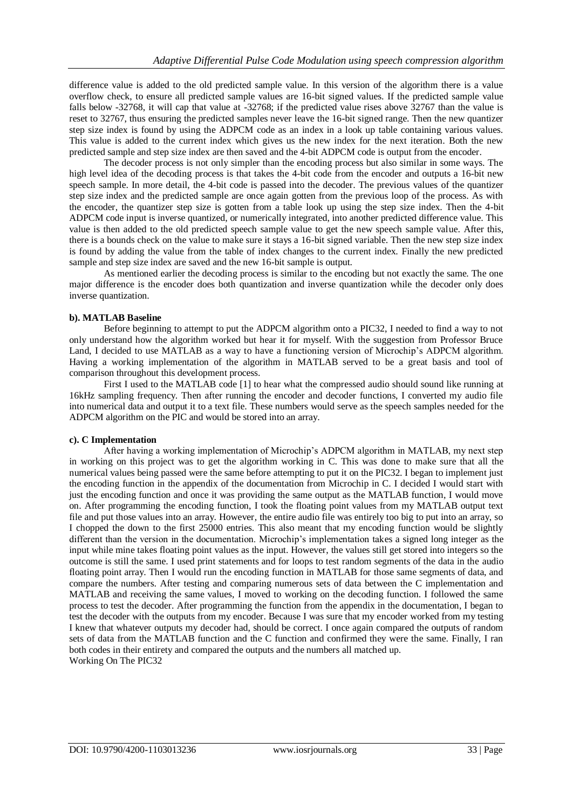difference value is added to the old predicted sample value. In this version of the algorithm there is a value overflow check, to ensure all predicted sample values are 16-bit signed values. If the predicted sample value falls below -32768, it will cap that value at -32768; if the predicted value rises above 32767 than the value is reset to 32767, thus ensuring the predicted samples never leave the 16-bit signed range. Then the new quantizer step size index is found by using the ADPCM code as an index in a look up table containing various values. This value is added to the current index which gives us the new index for the next iteration. Both the new predicted sample and step size index are then saved and the 4-bit ADPCM code is output from the encoder.

The decoder process is not only simpler than the encoding process but also similar in some ways. The high level idea of the decoding process is that takes the 4-bit code from the encoder and outputs a 16-bit new speech sample. In more detail, the 4-bit code is passed into the decoder. The previous values of the quantizer step size index and the predicted sample are once again gotten from the previous loop of the process. As with the encoder, the quantizer step size is gotten from a table look up using the step size index. Then the 4-bit ADPCM code input is inverse quantized, or numerically integrated, into another predicted difference value. This value is then added to the old predicted speech sample value to get the new speech sample value. After this, there is a bounds check on the value to make sure it stays a 16-bit signed variable. Then the new step size index is found by adding the value from the table of index changes to the current index. Finally the new predicted sample and step size index are saved and the new 16-bit sample is output.

As mentioned earlier the decoding process is similar to the encoding but not exactly the same. The one major difference is the encoder does both quantization and inverse quantization while the decoder only does inverse quantization.

## **b). MATLAB Baseline**

Before beginning to attempt to put the ADPCM algorithm onto a PIC32, I needed to find a way to not only understand how the algorithm worked but hear it for myself. With the suggestion from Professor Bruce Land, I decided to use MATLAB as a way to have a functioning version of Microchip's ADPCM algorithm. Having a working implementation of the algorithm in MATLAB served to be a great basis and tool of comparison throughout this development process.

First I used to the MATLAB code [1] to hear what the compressed audio should sound like running at 16kHz sampling frequency. Then after running the encoder and decoder functions, I converted my audio file into numerical data and output it to a text file. These numbers would serve as the speech samples needed for the ADPCM algorithm on the PIC and would be stored into an array.

## **c). C Implementation**

After having a working implementation of Microchip's ADPCM algorithm in MATLAB, my next step in working on this project was to get the algorithm working in C. This was done to make sure that all the numerical values being passed were the same before attempting to put it on the PIC32. I began to implement just the encoding function in the appendix of the documentation from Microchip in C. I decided I would start with just the encoding function and once it was providing the same output as the MATLAB function, I would move on. After programming the encoding function, I took the floating point values from my MATLAB output text file and put those values into an array. However, the entire audio file was entirely too big to put into an array, so I chopped the down to the first 25000 entries. This also meant that my encoding function would be slightly different than the version in the documentation. Microchip's implementation takes a signed long integer as the input while mine takes floating point values as the input. However, the values still get stored into integers so the outcome is still the same. I used print statements and for loops to test random segments of the data in the audio floating point array. Then I would run the encoding function in MATLAB for those same segments of data, and compare the numbers. After testing and comparing numerous sets of data between the C implementation and MATLAB and receiving the same values, I moved to working on the decoding function. I followed the same process to test the decoder. After programming the function from the appendix in the documentation, I began to test the decoder with the outputs from my encoder. Because I was sure that my encoder worked from my testing I knew that whatever outputs my decoder had, should be correct. I once again compared the outputs of random sets of data from the MATLAB function and the C function and confirmed they were the same. Finally, I ran both codes in their entirety and compared the outputs and the numbers all matched up. Working On The PIC32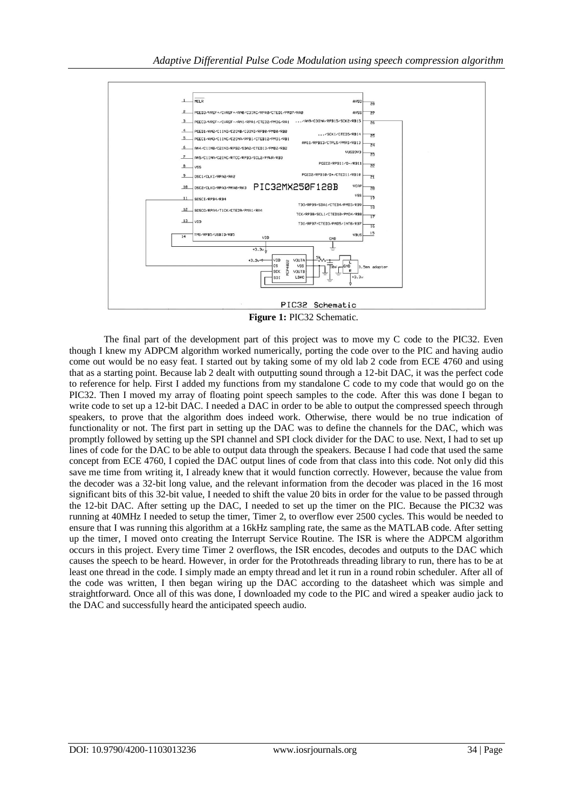

**Figure 1:** PIC32 Schematic.

The final part of the development part of this project was to move my C code to the PIC32. Even though I knew my ADPCM algorithm worked numerically, porting the code over to the PIC and having audio come out would be no easy feat. I started out by taking some of my old lab 2 code from ECE 4760 and using that as a starting point. Because lab 2 dealt with outputting sound through a 12-bit DAC, it was the perfect code to reference for help. First I added my functions from my standalone C code to my code that would go on the PIC32. Then I moved my array of floating point speech samples to the code. After this was done I began to write code to set up a 12-bit DAC. I needed a DAC in order to be able to output the compressed speech through speakers, to prove that the algorithm does indeed work. Otherwise, there would be no true indication of functionality or not. The first part in setting up the DAC was to define the channels for the DAC, which was promptly followed by setting up the SPI channel and SPI clock divider for the DAC to use. Next, I had to set up lines of code for the DAC to be able to output data through the speakers. Because I had code that used the same concept from ECE 4760, I copied the DAC output lines of code from that class into this code. Not only did this save me time from writing it, I already knew that it would function correctly. However, because the value from the decoder was a 32-bit long value, and the relevant information from the decoder was placed in the 16 most significant bits of this 32-bit value, I needed to shift the value 20 bits in order for the value to be passed through the 12-bit DAC. After setting up the DAC, I needed to set up the timer on the PIC. Because the PIC32 was running at 40MHz I needed to setup the timer, Timer 2, to overflow ever 2500 cycles. This would be needed to ensure that I was running this algorithm at a 16kHz sampling rate, the same as the MATLAB code. After setting up the timer, I moved onto creating the Interrupt Service Routine. The ISR is where the ADPCM algorithm occurs in this project. Every time Timer 2 overflows, the ISR encodes, decodes and outputs to the DAC which causes the speech to be heard. However, in order for the Protothreads threading library to run, there has to be at least one thread in the code. I simply made an empty thread and let it run in a round robin scheduler. After all of the code was written, I then began wiring up the DAC according to the datasheet which was simple and straightforward. Once all of this was done, I downloaded my code to the PIC and wired a speaker audio jack to the DAC and successfully heard the anticipated speech audio.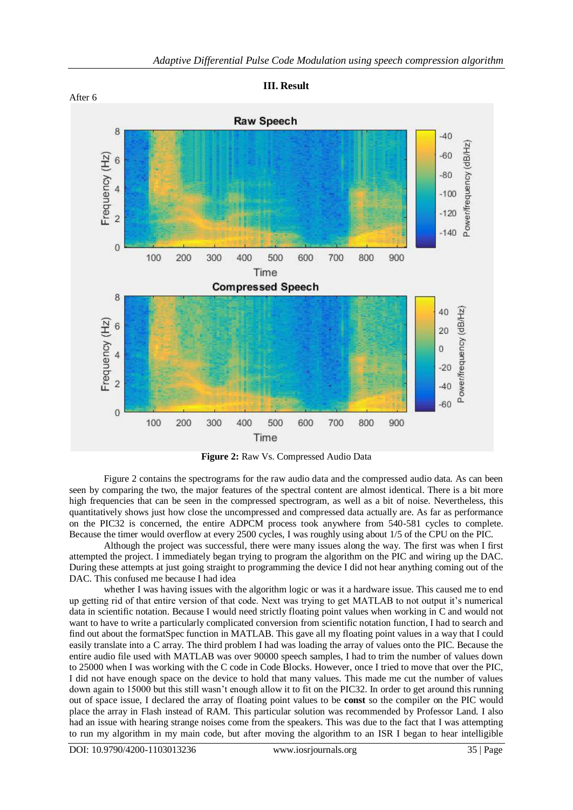

**III. Result**

**Figure 2:** Raw Vs. Compressed Audio Data

Figure 2 contains the spectrograms for the raw audio data and the compressed audio data. As can been seen by comparing the two, the major features of the spectral content are almost identical. There is a bit more high frequencies that can be seen in the compressed spectrogram, as well as a bit of noise. Nevertheless, this quantitatively shows just how close the uncompressed and compressed data actually are. As far as performance on the PIC32 is concerned, the entire ADPCM process took anywhere from 540-581 cycles to complete. Because the timer would overflow at every 2500 cycles, I was roughly using about 1/5 of the CPU on the PIC.

Although the project was successful, there were many issues along the way. The first was when I first attempted the project. I immediately began trying to program the algorithm on the PIC and wiring up the DAC. During these attempts at just going straight to programming the device I did not hear anything coming out of the DAC. This confused me because I had idea

whether I was having issues with the algorithm logic or was it a hardware issue. This caused me to end up getting rid of that entire version of that code. Next was trying to get MATLAB to not output it's numerical data in scientific notation. Because I would need strictly floating point values when working in C and would not want to have to write a particularly complicated conversion from scientific notation function, I had to search and find out about the formatSpec function in MATLAB. This gave all my floating point values in a way that I could easily translate into a C array. The third problem I had was loading the array of values onto the PIC. Because the entire audio file used with MATLAB was over 90000 speech samples, I had to trim the number of values down to 25000 when I was working with the C code in Code Blocks. However, once I tried to move that over the PIC, I did not have enough space on the device to hold that many values. This made me cut the number of values down again to 15000 but this still wasn't enough allow it to fit on the PIC32. In order to get around this running out of space issue, I declared the array of floating point values to be **const** so the compiler on the PIC would place the array in Flash instead of RAM. This particular solution was recommended by Professor Land. I also had an issue with hearing strange noises come from the speakers. This was due to the fact that I was attempting to run my algorithm in my main code, but after moving the algorithm to an ISR I began to hear intelligible